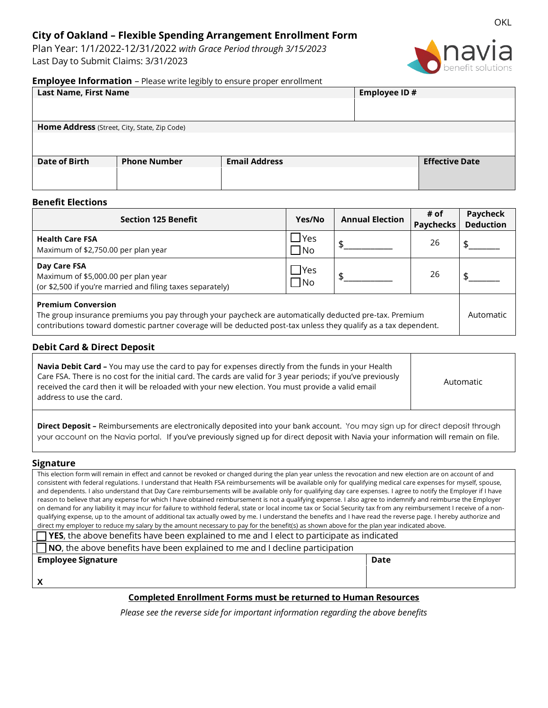# **City of Oakland – Flexible Spending Arrangement Enrollment Form**

Plan Year: 1/1/2022-12/31/2022 *with Grace Period through 3/15/2023* Last Day to Submit Claims: 3/31/2023



## **Employee Information** – Please write legibly to ensure proper enrollment

| <b>Last Name, First Name</b>                 |                     |                      | Employee ID# |                       |  |  |  |
|----------------------------------------------|---------------------|----------------------|--------------|-----------------------|--|--|--|
|                                              |                     |                      |              |                       |  |  |  |
|                                              |                     |                      |              |                       |  |  |  |
| Home Address (Street, City, State, Zip Code) |                     |                      |              |                       |  |  |  |
|                                              |                     |                      |              |                       |  |  |  |
|                                              |                     |                      |              |                       |  |  |  |
| <b>Date of Birth</b>                         | <b>Phone Number</b> | <b>Email Address</b> |              | <b>Effective Date</b> |  |  |  |
|                                              |                     |                      |              |                       |  |  |  |
|                                              |                     |                      |              |                       |  |  |  |

## **Benefit Elections**

| <b>Section 125 Benefit</b>                                                                                                                                                                                                                              | Yes/No                  | <b>Annual Election</b> | # of<br><b>Paychecks</b> | Paycheck<br><b>Deduction</b> |
|---------------------------------------------------------------------------------------------------------------------------------------------------------------------------------------------------------------------------------------------------------|-------------------------|------------------------|--------------------------|------------------------------|
| <b>Health Care FSA</b><br>Maximum of \$2,750.00 per plan year                                                                                                                                                                                           | $\Box$ Yes<br>$\Box$ No | \$.                    | 26                       |                              |
| Day Care FSA<br>Maximum of \$5,000.00 per plan year<br>(or \$2,500 if you're married and filing taxes separately)                                                                                                                                       | $\Box$ Yes<br>$\Box$ No |                        | 26                       |                              |
| <b>Premium Conversion</b><br>The group insurance premiums you pay through your paycheck are automatically deducted pre-tax. Premium<br>contributions toward domestic partner coverage will be deducted post-tax unless they qualify as a tax dependent. |                         |                        |                          |                              |

## **Debit Card & Direct Deposit**

| <b>Navia Debit Card -</b> You may use the card to pay for expenses directly from the funds in your Health     |  |  |
|---------------------------------------------------------------------------------------------------------------|--|--|
| Care FSA. There is no cost for the initial card. The cards are valid for 3 year periods; if you've previously |  |  |
| received the card then it will be reloaded with your new election. You must provide a valid email             |  |  |
| address to use the card.                                                                                      |  |  |

Automatic

**Direct Deposit –** Reimbursements are electronically deposited into your bank account. You may sign up for direct deposit through your account on the Navia portal. If you've previously signed up for direct deposit with Navia your information will remain on file.

## **Signature**

This election form will remain in effect and cannot be revoked or changed during the plan year unless the revocation and new election are on account of and consistent with federal regulations. I understand that Health FSA reimbursements will be available only for qualifying medical care expenses for myself, spouse, and dependents. I also understand that Day Care reimbursements will be available only for qualifying day care expenses. I agree to notify the Employer if I have reason to believe that any expense for which I have obtained reimbursement is not a qualifying expense. I also agree to indemnify and reimburse the Employer on demand for any liability it may incur for failure to withhold federal, state or local income tax or Social Security tax from any reimbursement I receive of a nonqualifying expense, up to the amount of additional tax actually owed by me. I understand the benefits and I have read the reverse page. I hereby authorize and direct my employer to reduce my salary by the amount necessary to pay for the benefit(s) as shown above for the plan year indicated above.

| $\Box$ YES, the above benefits have been explained to me and I elect to participate as indicated |
|--------------------------------------------------------------------------------------------------|
|                                                                                                  |

| $\Box$ NO, the above benefits have been explained to me and I decline participation |      |
|-------------------------------------------------------------------------------------|------|
| <b>Employee Signature</b>                                                           | Date |

**X**

## **Completed Enrollment Forms must be returned to Human Resources**

*Please see the reverse side for important information regarding the above benefits*